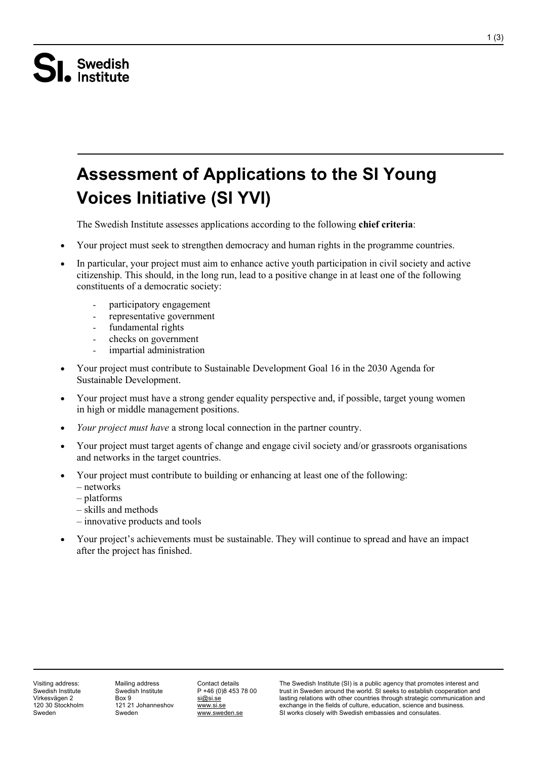# Swedish<br>• Institute

# **Assessment of Applications to the SI Young Voices Initiative (SI YVI)**

The Swedish Institute assesses applications according to the following **chief criteria**:

- Your project must seek to strengthen democracy and human rights in the programme countries.
- In particular, your project must aim to enhance active youth participation in civil society and active citizenship. This should, in the long run, lead to a positive change in at least one of the following constituents of a democratic society:
	- participatory engagement
	- representative government
	- fundamental rights
	- checks on government
	- impartial administration
- Your project must contribute to Sustainable Development Goal 16 in the 2030 Agenda for Sustainable Development.
- Your project must have a strong gender equality perspective and, if possible, target young women in high or middle management positions.
- *Your project must have* a strong local connection in the partner country.
- Your project must target agents of change and engage civil society and/or grassroots organisations and networks in the target countries.
- Your project must contribute to building or enhancing at least one of the following:
	- networks
	- platforms
	- skills and methods
	- innovative products and tools
- Your project's achievements must be sustainable. They will continue to spread and have an impact after the project has finished.

Visiting address: Swedish Institute Virkesvägen 2 120 30 Stockholm Sweden

Mailing address Swedish Institute Box 9 121 21 Johanneshov Sweden

Contact details P +46 (0)8 453 78 00 [si@si.se](mailto:si@si.se) [www.si.se](http://www.si.se/) [www.sweden.se](http://www.sweden.se/)

The Swedish Institute (SI) is a public agency that promotes interest and trust in Sweden around the world. SI seeks to establish cooperation and lasting relations with other countries through strategic communication and exchange in the fields of culture, education, science and business. SI works closely with Swedish embassies and consulates.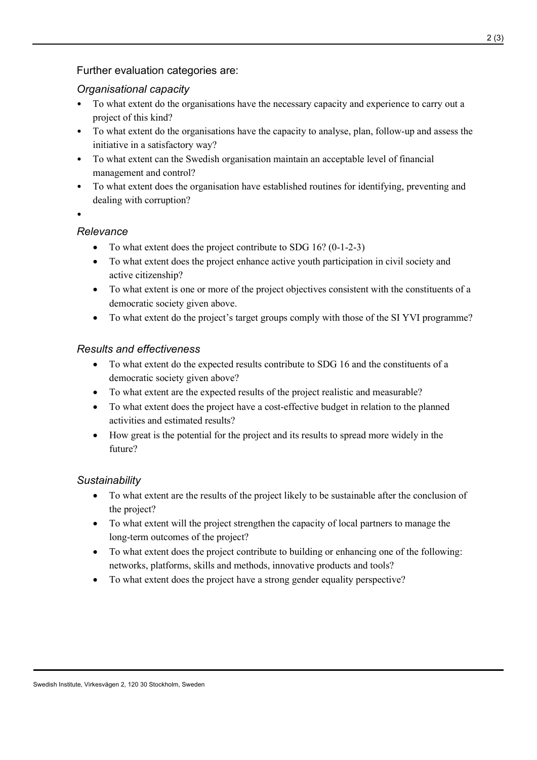#### Further evaluation categories are:

#### *Organisational capacity*

- To what extent do the organisations have the necessary capacity and experience to carry out a project of this kind?
- To what extent do the organisations have the capacity to analyse, plan, follow-up and assess the initiative in a satisfactory way?
- To what extent can the Swedish organisation maintain an acceptable level of financial management and control?
- To what extent does the organisation have established routines for identifying, preventing and dealing with corruption?

•

#### *Relevance*

- To what extent does the project contribute to SDG 16? (0-1-2-3)
- To what extent does the project enhance active youth participation in civil society and active citizenship?
- To what extent is one or more of the project objectives consistent with the constituents of a democratic society given above.
- To what extent do the project's target groups comply with those of the SI YVI programme?

#### *Results and effectiveness*

- To what extent do the expected results contribute to SDG 16 and the constituents of a democratic society given above?
- To what extent are the expected results of the project realistic and measurable?
- To what extent does the project have a cost-effective budget in relation to the planned activities and estimated results?
- How great is the potential for the project and its results to spread more widely in the future?

#### *Sustainability*

- To what extent are the results of the project likely to be sustainable after the conclusion of the project?
- To what extent will the project strengthen the capacity of local partners to manage the long-term outcomes of the project?
- To what extent does the project contribute to building or enhancing one of the following: networks, platforms, skills and methods, innovative products and tools?
- To what extent does the project have a strong gender equality perspective?